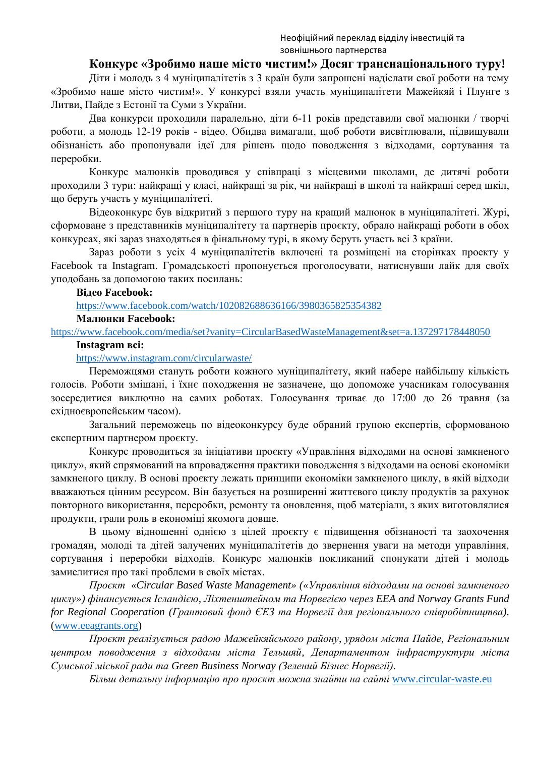# **Конкурс «Зробимо наше місто чистим!» Досяг транснаціонального туру!**

Діти і молодь з 4 муніципалітетів з 3 країн були запрошені надіслати свої роботи на тему «Зробимо наше місто чистим!». У конкурсі взяли участь муніципалітети Мажейкяй і Плунге з Литви, Пайде з Естонії та Суми з України.

Два конкурси проходили паралельно, діти 6-11 років представили свої малюнки / творчі роботи, а молодь 12-19 років - відео. Обидва вимагали, щоб роботи висвітлювали, підвищували обізнаність або пропонували ідеї для рішень щодо поводження з відходами, сортування та переробки.

Конкурс малюнків проводився у співпраці з місцевими школами, де дитячі роботи проходили 3 тури: найкращі у класі, найкращі за рік, чи найкращі в школі та найкращі серед шкіл, що беруть участь у муніципалітеті.

Відеоконкурс був відкритий з першого туру на кращий малюнок в муніципалітеті. Журі, сформоване з представників муніципалітету та партнерів проєкту, обрало найкращі роботи в обох конкурсах, які зараз знаходяться в фінальному турі, в якому беруть участь всі 3 країни.

Зараз роботи з усіх 4 муніципалітетів включені та розміщені на сторінках проекту у Facebook та Instagram. Громадськості пропонується проголосувати, натиснувши лайк для своїх уподобань за допомогою таких посилань:

### **Відео Facebook:**

<https://www.facebook.com/watch/102082688636166/3980365825354382>

### **Малюнки Facebook:**

<https://www.facebook.com/media/set?vanity=CircularBasedWasteManagement&set=a.137297178448050>

## **Instagram всі:**

<https://www.instagram.com/circularwaste/>

Переможцями стануть роботи кожного муніципалітету, який набере найбільшу кількість голосів. Роботи змішані, і їхнє походження не зазначене, що допоможе учасникам голосування зосередитися виключно на самих роботах. Голосування триває до 17:00 до 26 травня (за східноєвропейським часом).

Загальний переможець по відеоконкурсу буде обраний групою експертів, сформованою експертним партнером проєкту.

Конкурс проводиться за ініціативи проєкту «Управління відходами на основі замкненого циклу», який спрямований на впровадження практики поводження з відходами на основі економіки замкненого циклу. В основі проєкту лежать принципи економіки замкненого циклу, в якій відходи вважаються цінним ресурсом. Він базується на розширенні життєвого циклу продуктів за рахунок повторного використання, переробки, ремонту та оновлення, щоб матеріали, з яких виготовлялися продукти, грали роль в економіці якомога довше.

В цьому відношенні однією з цілей проєкту є підвищення обізнаності та заохочення громадян, молоді та дітей залучених муніципалітетів до звернення уваги на методи управління, сортування і переробки відходів. Конкурс малюнків покликаний спонукати дітей і молодь замислитися про такі проблеми в своїх містах.

*Проєкт «Circular Based Waste Management» («Управління відходами на основі замкненого циклу») фінансується Ісландією, Ліхтенштейном та Норвегією через EEA and Norway Grants Fund for Regional Cooperation (Грантовий фонд ЄЕЗ та Норвегії для регіонального співробітництва)*. [\(www.eeagrants.org\)](http://www.eeagrants.org/)

*Проєкт реалізується радою Мажейкяйського району, урядом міста Пайде, Регіональним центром поводження з відходами міста Тельшяй, Департаментом інфраструктури міста Сумської міської ради та Green Business Norway (Зелений Бізнес Норвегії).*

*Більш детальну інформацію про проєкт можна знайти на сайті* [www.circular-waste.eu](http://www.circular-waste.eu/)